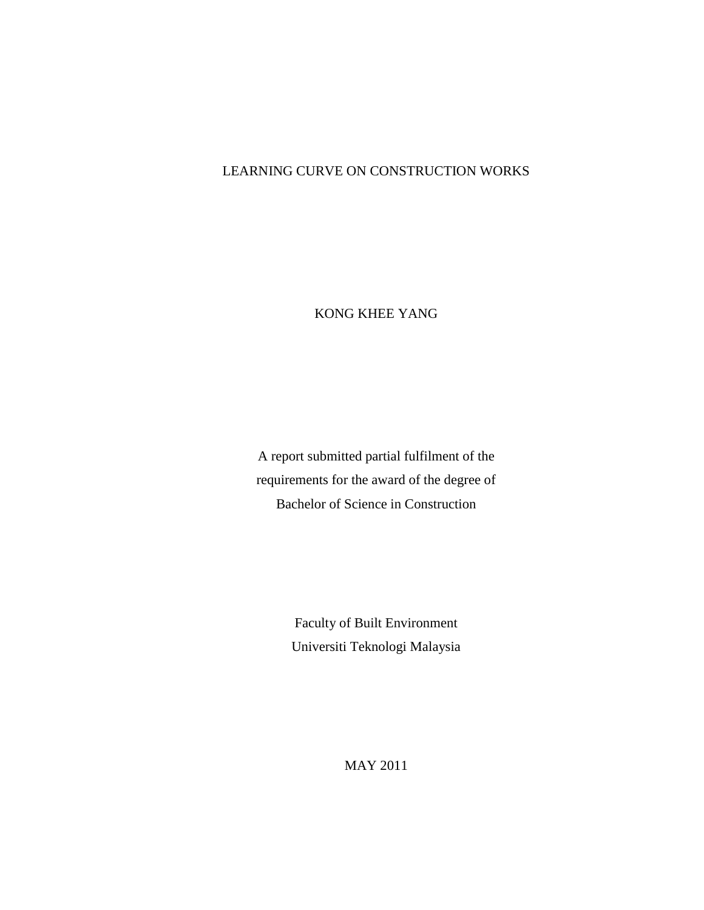## LEARNING CURVE ON CONSTRUCTION WORKS

KONG KHEE YANG

A report submitted partial fulfilment of the requirements for the award of the degree of Bachelor of Science in Construction

> Faculty of Built Environment Universiti Teknologi Malaysia

> > MAY 2011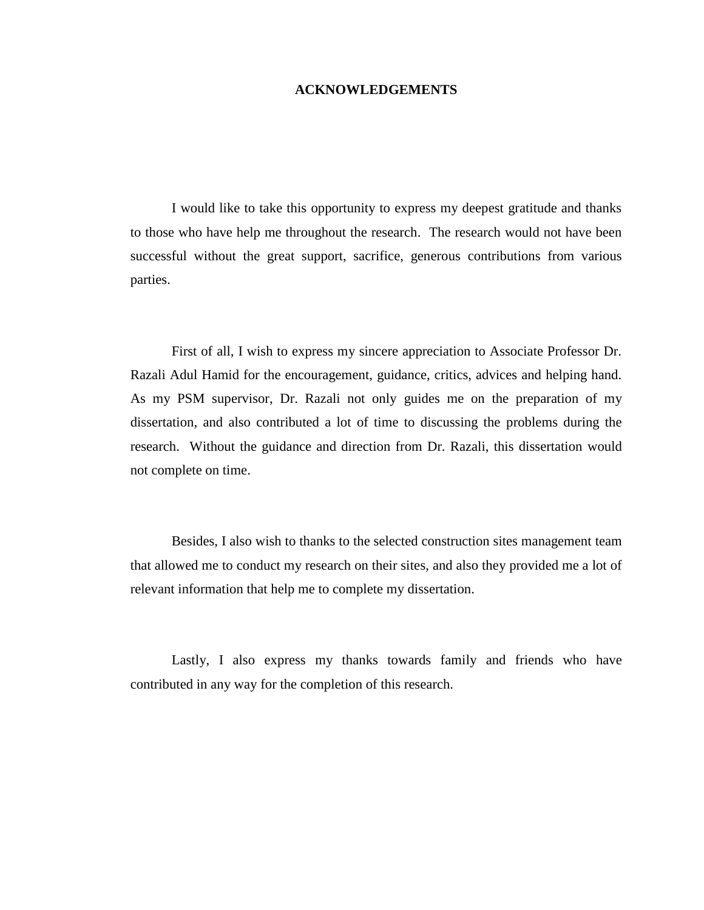## **ACKNOWLEDGEMENTS**

I would like to take this opportunity to express my deepest gratitude and thanks to those who have help me throughout the research. The research would not have been successful without the great support, sacrifice, generous contributions from various parties.

First of all, I wish to express my sincere appreciation to Associate Professor Dr. Razali Adul Hamid for the encouragement, guidance, critics, advices and helping hand. As my PSM supervisor, Dr. Razali not only guides me on the preparation of my dissertation, and also contributed a lot of time to discussing the problems during the research. Without the guidance and direction from Dr. Razali, this dissertation would not complete on time.

Besides, I also wish to thanks to the selected construction sites management team that allowed me to conduct my research on their sites, and also they provided me a lot of relevant information that help me to complete my dissertation.

Lastly, I also express my thanks towards family and friends who have contributed in any way for the completion of this research.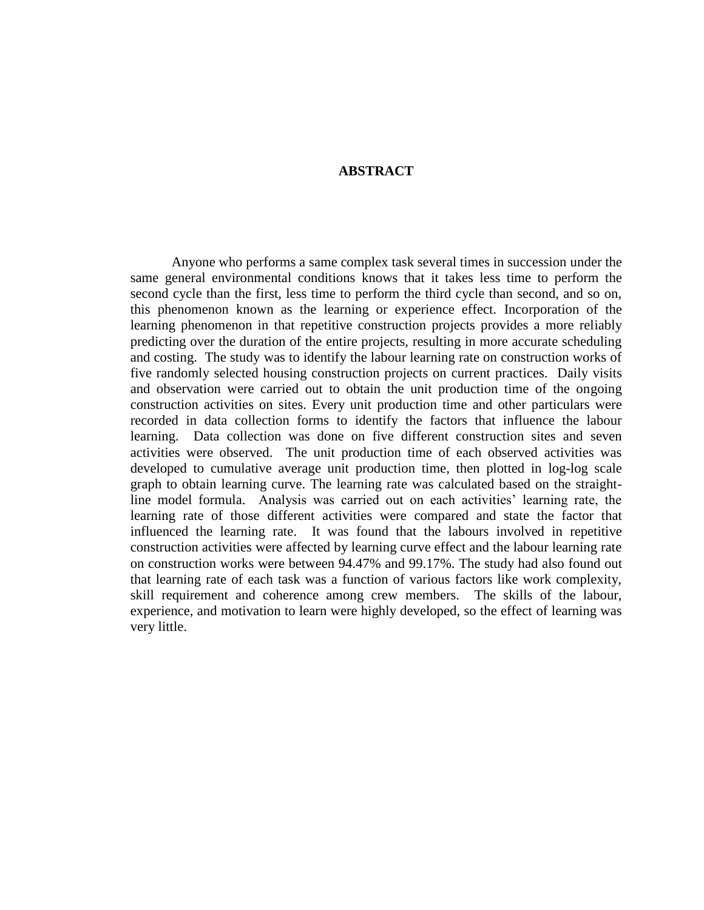## **ABSTRACT**

Anyone who performs a same complex task several times in succession under the same general environmental conditions knows that it takes less time to perform the second cycle than the first, less time to perform the third cycle than second, and so on, this phenomenon known as the learning or experience effect. Incorporation of the learning phenomenon in that repetitive construction projects provides a more reliably predicting over the duration of the entire projects, resulting in more accurate scheduling and costing. The study was to identify the labour learning rate on construction works of five randomly selected housing construction projects on current practices. Daily visits and observation were carried out to obtain the unit production time of the ongoing construction activities on sites. Every unit production time and other particulars were recorded in data collection forms to identify the factors that influence the labour learning. Data collection was done on five different construction sites and seven activities were observed. The unit production time of each observed activities was developed to cumulative average unit production time, then plotted in log-log scale graph to obtain learning curve. The learning rate was calculated based on the straightline model formula. Analysis was carried out on each activities' learning rate, the learning rate of those different activities were compared and state the factor that influenced the learning rate. It was found that the labours involved in repetitive construction activities were affected by learning curve effect and the labour learning rate on construction works were between 94.47% and 99.17%. The study had also found out that learning rate of each task was a function of various factors like work complexity, skill requirement and coherence among crew members. The skills of the labour, experience, and motivation to learn were highly developed, so the effect of learning was very little.